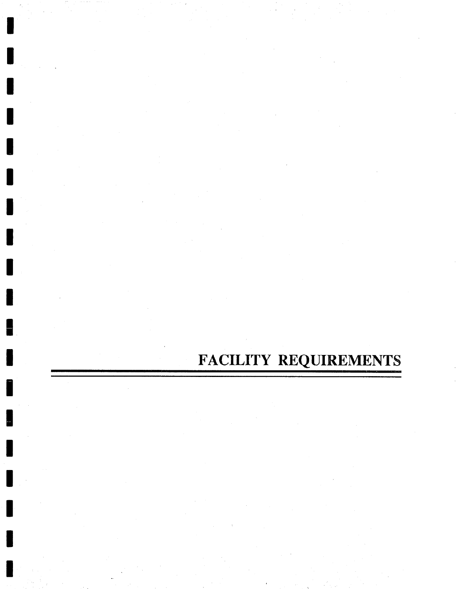# FACILITY REQUIREMENTS

▌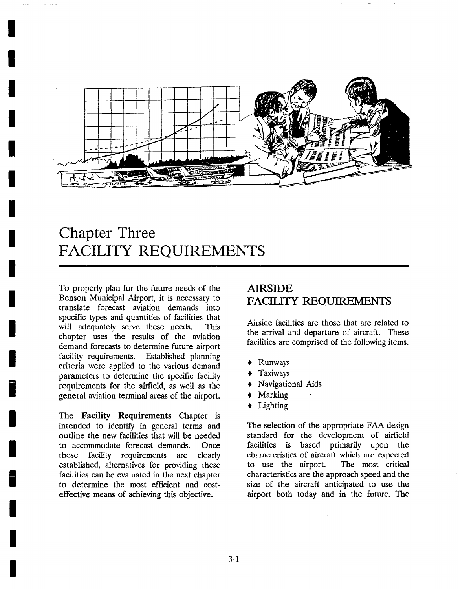

## **Chapter Three FACILITY REQUIREMENTS**

To properly plan for the future needs of the Benson Municipal Airport, it is necessary to translate forecast aviation demands into specific types and quantities of facilities that will adequately serve these needs. This chapter uses the results of the aviation demand forecasts to determine future airport facility requirements. Established planning criteria were applied to the various demand parameters to determine the specific facility requirements for the airfield, as well as the general aviation terminal areas of the airport.

**I** 

**I** 

**I** 

**I** 

**i** 

**I** 

**I** 

**I** 

**i** 

**I** 

**I** 

**I** 

**I** 

**I** 

**I** 

The Facility Requirements Chapter is intended to identify in general terms and outline the new facilities that will be needed to accommodate forecast demands. Once these facility requirements are clearly established, alternatives for providing these facilities can be evaluated in the next chapter to determine the most efficient and costeffective means of achieving this objective.

### **AIRSIDE**  FACILITY REQUIREMENTS

Airside facilities are those that are related to the arrival and departure of aircraft. These facilities are comprised of the following items.

- , Runways
- Taxiways
- , Navigational Aids
- Marking
- , Lighting

The selection of the appropriate FAA design standard for the development of airfield facilities is based primarily upon the characteristics of aircraft which are expected to use the airport. The most critical characteristics are the approach speed and the size of the aircraft anticipated to use the airport both today and in the future. The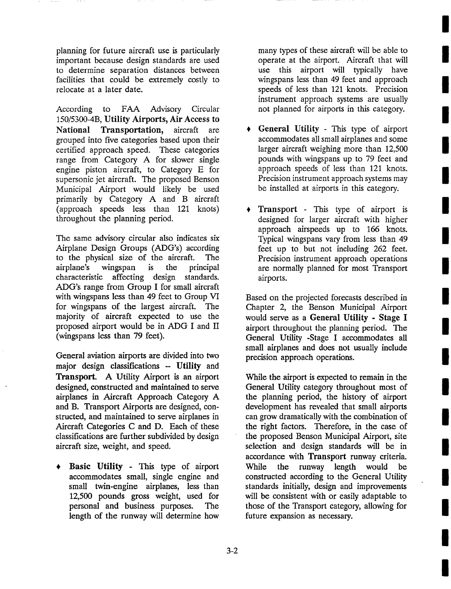planning for future aircraft use is particularly important because design standards are used to determine separation distances between facilities that could be extremely costly to relocate at a later date.

According to FAA Advisory Circular 150/5300-4B, Utility Airports, Air Access to National Transportation, aircraft are grouped into five categories based upon their certified approach speed. These categories range from Category A for slower single engine piston aircraft, to Category E for supersonic jet aircraft. The proposed Benson Municipal Airport would likely be used primarily by Category A and B aircraft (approach speeds less than 121 knots) throughout the planning period.

The same advisory circular also indicates six Airplane Design Groups (ADG's) according to the physical size of the aircraft. The airplane's wingspan is the principal characteristic affecting design standards. ADG's range from Group I for small aircraft with wingspans less than 49 feet to Group VI for wingspans of the largest aircraft. The majority of aircraft expected to use the proposed airport would be in ADG I and II (wingspans less than 79 feet).

General aviation airports are divided into two major design classifications -- Utility and Transport. A Utility Airport is an airport designed, constructed and maintained to serve airplanes in Aircraft Approach Category A and B. Transport Airports are designed, constructed, and maintained to serve airplanes in Aircraft Categories C and D. Each of these classifications are further subdivided by design aircraft size, weight, and speed.

Basic Utility - This type of airport accommodates small, single engine and small twin-engine airplanes, less than 12,500 pounds gross weight, used for personal and business purposes. The length of the runway will determine how many types of these aircraft will be able to operate at the airport. Aircraft that will use this airport will typically have wingspans less than 49 feet and approach speeds of less than 121 knots. Precision instrument approach systems are usually not planned for airports in this category.

- General Utility This type of airport accommodates all small airplanes and some larger aircraft weighing more than 12,500 pounds with wingspans up to 79 feet and approach speeds of less than 121 knots. Precision instrument approach systems may be installed at airports in this category.
- Transport This type of airport is designed for larger aircraft with higher approach airspeeds up to 166 knots. Typical wingspans vary from less than 49 feet up to but not including 262 feet. Precision instrument approach operations are normally planned for most Transport airports.

Based on the projected forecasts described in Chapter 2, the Benson Municipal Airport would serve as a General Utility - Stage I airport throughout the planning period. The General Utility -Stage I accommodates all small airplanes and does not usually include precision approach operations.

While the airport is expected to remain in the General Utility category throughout most of the planning period, the history of airport development has revealed that small airports can grow dramatically with the combination of the right factors. Therefore, in the case of the proposed Benson Municipal Airport, site selection and design standards will be in accordance with Transport runway criteria. While the runway length would be constructed according to the General Utility standards initially, design and improvements will be consistent with or easily adaptable to those of the Transport category, allowing for future expansion as necessary.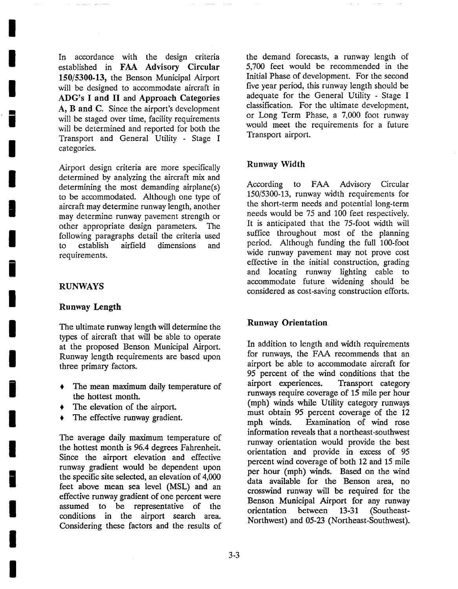In accordance with the design criteria established in FAA Advisory Circular 150/5300.13, the Benson Municipal Airport will be designed to accommodate aircraft in ADG's I and II and Approach Categories A, B and C. Since the airport's development will be staged over time, facility requirements will be determined and reported for both the Transport and General Utility - Stage I categories.

Airport design criteria are more specifically determined by analyzing the aircraft mix and determining the most demanding airplane(s) to be accommodated. Although one type of aircraft may determine runway length, another may determine runway pavement strength or other appropriate design parameters. The following paragraphs detail the criteria used to establish airfield dimensions and requirements.

### RUNWAYS

**I** 

**I** 

**I** 

**|** 

**I** 

**I** 

**I** 

**I** 

**i** 

**I** 

**I** 

**I** 

**i** 

**I** 

**I** 

**I** 

**I** 

**I** 

**I** 

### **Runway Length**

The ultimate runway length will determine the types of aircraft that will be able to operate at the proposed Benson Municipal Airport. Runway length requirements are based upon three primary factors.

- The mean maximum daily temperature of the hottest month.
- The elevation of the airport.
- The effective runway gradient.

The average daily maximum temperature of the hottest month is 96.4 degrees Fahrenheit. Since the airport elevation and effective runway gradient would be dependent upon the specific site selected, an elevation of 4,000 feet above mean sea level (MSL) and an effective runway gradient of one percent were assumed to be representative of the conditions in the airport search area. Considering these factors and the results of the demand forecasts, a runway length of 5,700 feet would be recommended in the Initial Phase of development. For the second five year period, this runway length should be adequate for the General Utility - Stage I classification. For the ultimate development, or Long Term Phase, a 7,000 foot runway would meet the requirements for a future Transport airport.

### **Runway Width**

According to FAA Advisory Circular 150/5300-13, runway width requirements for the short-term needs and potential long-term needs would be 75 and 100 feet respectively. It is anticipated that the 75-foot width will suffice throughout most of the planning period. Although funding the full 100-foot wide runway pavement may not prove cost effective in the initial construction, grading and locating runway lighting cable to accommodate future widening should be considered as cost-saving construction efforts.

### **Runway Orientation**

In addition to length and width requirements for runways, the FAA recommends that an airport be able to accommodate aircraft for 95 percent of the wind conditions that the airport experiences. Transport category runways require coverage of 15 mile per hour (mph) winds while Utility category runways must obtain 95 percent coverage of the 12 mph winds. Examination of wind rose information reveals that a northeast-southwest runway orientation would provide the best orientation and provide in excess of 95 percent wind coverage of both 12 and 15 mile per hour (mph) winds. Based on the wind data available for the Benson area, no crosswind runway will be required for the Benson Municipal Airport for any runway orientation between 13-31 (Southeast-Northwest) and 05-23 (Northeast-Southwest).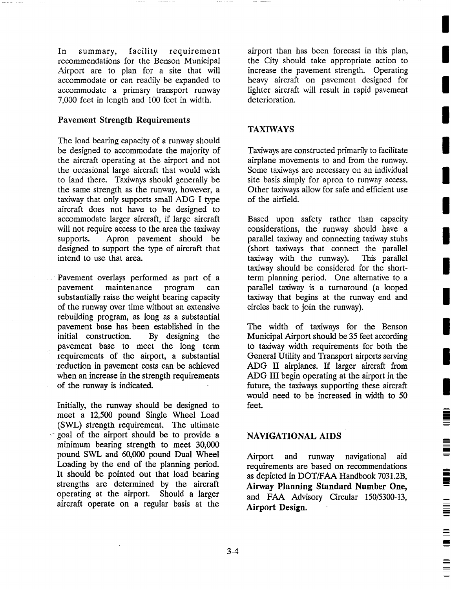In summary, facility requirement recommendations for the Benson Municipal Airport are to plan for a site that will accommodate or can readily be expanded to accommodate a primary transport runway 7,000 feet in length and 100 feet in width.

### **Pavement Strength Requirements**

The load bearing capacity of a runway should be designed to accommodate the majority of the aircraft operating at the airport and not the occasional large aircraft that would wish to land there. Taxiways should generally be the same strength as the runway, however, a taxiway that only supports small ADG I type aircraft does not have to be designed to accommodate larger aircraft, if large aircraft will not require access to the area the taxiway supports. Apron pavement should be designed to support the type of aircraft that intend to use that area.

Pavement overlays performed as part of a pavement maintenance program can substantially raise the weight bearing capacity of the runway over time without an extensive rebuilding program, as long as a substantial pavement base has been established in the initial construction. By designing the pavement base to meet the long term requirements of the airport, a substantial reduction in pavement costs can be achieved when an increase in the strength requirements of the runway is indicated.

Initially, the runway should be designed to meet a 12,500 pound Single Wheel Load (SWL) strength requirement. The ultimate goal of the airport should be to provide a minimum bearing strength to meet 30,000 pound SWL and 60,000 pound Dual Wheel Loading by the end of the planning period. It should be pointed out that load bearing strengths are determined by the aircraft operating at the airport. Should a larger aircraft operate on a regular basis at the

airport than has been forecast in this plan, the City should take appropriate action to increase the pavement strength. Operating heavy aircraft on pavement designed for lighter aircraft will result in rapid pavement deterioration.

### TAXIWAYS

Taxiways are constructed primarily to facilitate airplane movements to and from the runway. Some taxiways are necessary on an individual site basis simply for apron to runway access. Other taxiways allow for safe and efficient use of the airfield.

Based upon safety rather than capacity considerations, the runway should have a parallel taxiway and connecting taxiway stubs (short taxiways that connect the parallel taxiway with the runway). This parallel taxiway should be considered for the shortterm planning period. One alternative to a parallel taxiway is a turnaround (a looped taxiway that begins at the runway end and circles back to join the runway).

The width of taxiways for the Benson Municipal Airport should be 35 feet according to taxiway width requirements for both the General Utility and Transport airports serving ADG II airplanes. If larger aircraft from ADG III begin operating at the airport in the future, the taxiways supporting these aircraft would need to be increased in width to 50 feet.

I

<u>I</u>

İ

 $\begin{array}{c}\n\blacksquare \\
\blacksquare \\
\blacksquare\n\end{array}$ 

### NAVIGATIONAL AIDS

Airport and runway navigational aid requirements are based on recommendations as depicted in DOT/FAA Handbook 7031.2B, Airway Planning Standard **Number One,**  and FAA Advisory Circular 150/5300-13, Airport **Design.**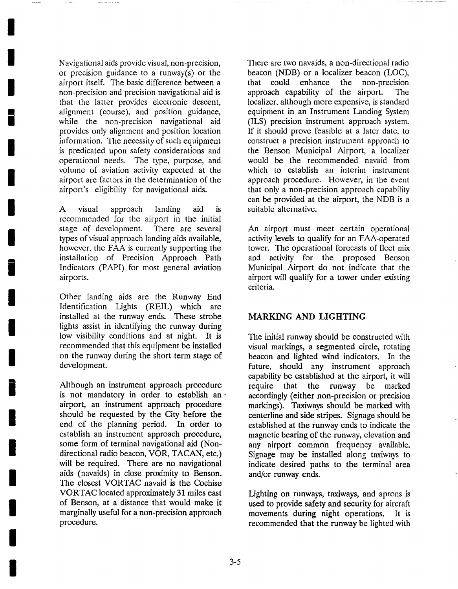Navigational aids provide visual, non-precision, or precision guidance to a runway(s) or the airport itself. The basic difference between a non-precision and precision navigational aid is that the latter provides electronic descent, alignment (course), and position guidance, while the non-precision navigational aid provides only alignment and position location information. The necessity of such equipment is predicated upon safety considerations and operational needs. The type, purpose, and volume of aviation activity expected at the airport are factors in the determination of the airport's eligibility for navigational aids.

**I** 

**I** 

**I** 

**|** 

**I** 

**I** 

**I** 

**I** 

**i** 

**I** 

**I** 

**I** 

**i** 

**I** 

**I** 

**I** 

**I** 

**I** 

**I** 

A visual approach landing aid is recommended for the airport in the initial stage of development. There are several types of visual approach landing aids available, however, the FAA is currently supporting the installation of Precision Approach Path Indicators (PAPI) for most general aviation airports.

Other landing aids are the Runway End Identification Lights (REIL) which are installed at the runway ends. These strobe lights assist in identifying the runway during low visibility conditions and at night. It is recommended that this equipment be installed on the runway during the short term stage of development.

Although an instrument approach procedure is not mandatory in order to establish an airport, an instrument approach procedure should be requested by the City before the end of the planning period. In order to establish an instrument approach procedure, some form of terminal navigational aid (Nondirectional radio beacon, VOR, TACAN, etc.) will be required. There are no navigational aids (navaids) in close proximity to Benson. The closest VORTAC navaid is the Cochise VORTAC located approximately 31 miles east of Benson, at a distance that would make it marginally useful for a non-precision approach procedure.

There are two navaids, a non-directional radio beacon (NDB) or a localizer beacon (LOC), that could enhance the non-precision approach capability of the airport. The localizer, although more expensive, is standard equipment in an Instrument Landing System (ILS) precision instrument approach system. If it should prove feasible at a later date, to construct a precision instrument approach to the Benson Municipal Airport, a localizer would be the recommended navaid from which to establish an interim instrument approach procedure. However, in the event that only a non-precision approach capability can be provided at the airport, the NDB is a suitable alternative.

An airport must meet certain operational activity levels to qualify for an FAA-operated tower. The operational forecasts of fleet mix and activity for the proposed Benson Municipal Airport do not indicate that the airport will qualify for a tower under existing criteria.

### MARKING AND LIGHTING

The initial runway should be constructed with visual markings, a segmented circle, rotating beacon and lighted wind indicators. In the future, should any instrument approach capability be established at the airport, it will require that the runway be marked accordingly (either non-precision or precision markings). Taxiways should be marked with centerline and side stripes. Signage should be established at the runway ends to indicate the magnetic bearing of the runway, elevation and any airport common frequency available. Signage may be installed along taxiways to indicate desired paths to the terminal area and/or runway ends.

Lighting on runways, taxiways, and aprons is used to provide safety and security for aircraft movements during night operations. It is recommended that the runway be lighted with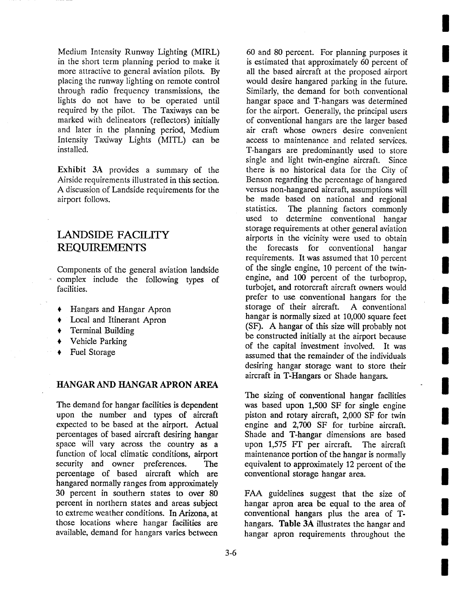Medium Intensity Runway Lighting (MIRL) in the short term planning period to make it more attractive to general aviation pilots. By placing the runway lighting on remote control through radio frequency transmissions, the lights do not have to be operated until required by the pilot. The Taxiways can be marked with delineators (reflectors) initially and later in the planning period, Medium Intensity Taxiway Lights (MITL) can be installed.

Exhibit 3A provides a summary of the Airside requirements illustrated in this section. A discussion of Landside requirements for the airport follows.

### LANDSIDE FACILITY **REQUIREMENTS**

Components of the general aviation landside r complex include the following types of facilities.

- Hangars and Hangar Apron
- Local and Itinerant Apron
- **+** Terminal Building
- Vehicle Parking
- Fuel Storage

### HANGAR AND HANGAR APRON AREA

The demand for hangar facilities is dependent upon the number and types of aircraft expected to be based at the airport. Actual percentages of based aircraft desiring hangar space will vary across the country as a function of local climatic conditions, airport security and owner preferences. The percentage of based aircraft which are hangared normally ranges from approximately 30 percent in southern states to over 80 percent in northern states and areas subject to extreme weather conditions. In Arizona, at those locations where hangar facilities are available, demand for hangars varies between

60 and 80 percent. For planning purposes it is estimated that approximately 60 percent of all the based aircraft at the proposed airport would desire hangared parking in the future. Similarly, the demand for both conventional hangar space and T-hangars was determined for the airport. Generally, the principal users of conventional hangars are the larger based air craft whose owners desire convenient access to maintenance and related services. T-hangars are predominantly used to store single and light twin-engine aircraft. Since there is no historical data for the City of Benson regarding the percentage of hangared versus non-hangared aircraft, assumptions will be made based on national and regional statistics. The planning factors commonly used to determine conventional hangar storage requirements at other general aviation airports in the vicinity were used to obtain the forecasts for conventional hangar requirements. It was assumed that 10 percent of the single engine, 10 percent of the twinengine, and 100 percent of the turboprop, turbojet, and rotorcraft aircraft owners would prefer to use conventional hangars for the storage of their aircraft. A conventional hangar is normally sized at 10,000 square feet (SF). A hangar of this size will probably not be constructed initially at the airport because of the capital investment involved. It was assumed that the remainder of the individuals desiring hangar storage want to store their aircraft in T-Hangars or Shade hangars.

The sizing of conventional hangar facilities was based upon 1,500 SF for single engine piston and rotary aircraft, 2,000 SF for twin engine and 2,700 SF for turbine aircraft. Shade and T-hangar dimensions are based upon 1,575 Fr per aircraft. The aircraft maintenance portion of the hangar is normally equivalent to approximately 12 percent of the conventional storage hangar area.

FAA guidelines suggest that the size of hangar apron area be equal to the area of conventional hangars plus the area of Thangars. Table 3A illustrates the hangar and hangar apron requirements throughout the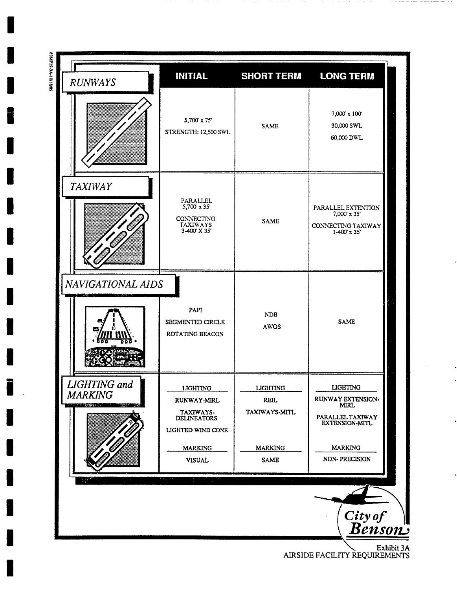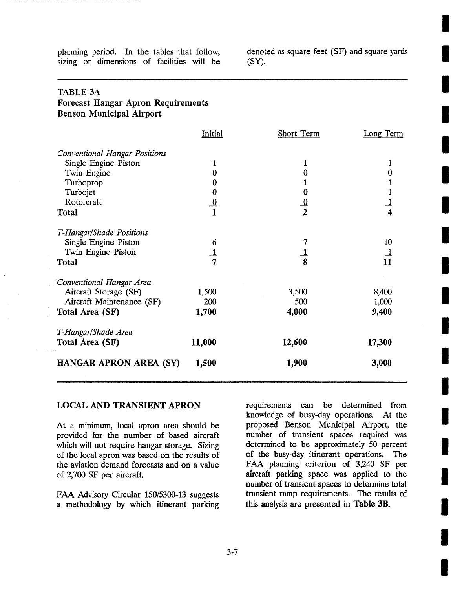planning period. In the tables that follow, sizing or dimensions of facilities will be

denoted as square feet (SF) and square yards (SY).

| <b>TABLE 3A</b>                           |                                                   |               |                |
|-------------------------------------------|---------------------------------------------------|---------------|----------------|
| <b>Forecast Hangar Apron Requirements</b> |                                                   |               |                |
| <b>Benson Municipal Airport</b>           |                                                   |               |                |
|                                           | Initial                                           | Short Term    | Long Term      |
| <b>Conventional Hangar Positions</b>      |                                                   |               |                |
| Single Engine Piston                      | 1                                                 | 1             | 1              |
| Twin Engine                               | $\bf{0}$                                          | $\bf{0}$      | $\bf{0}$       |
| Turboprop                                 | $\bf{0}$                                          | 1             | 1              |
| Turbojet                                  |                                                   | $\bf{0}$      |                |
| Rotorcraft                                | $\begin{array}{c} 0 \\ 0 \\ \hline 1 \end{array}$ | $\frac{0}{2}$ | $\frac{1}{4}$  |
| <b>Total</b>                              |                                                   |               |                |
| T-Hangar/Shade Positions                  |                                                   |               |                |
| Single Engine Piston                      | 6                                                 |               | 10             |
| Twin Engine Piston                        | $\frac{1}{7}$                                     |               |                |
| <b>Total</b>                              |                                                   |               | $\frac{1}{11}$ |
| Conventional Hangar Area                  |                                                   |               |                |
| Aircraft Storage (SF)                     | 1,500                                             | 3,500         | 8,400          |
| Aircraft Maintenance (SF)                 | 200                                               | 500           | 1,000          |
| Total Area (SF)                           | 1,700                                             | 4,000         | 9,400          |
| T-Hangar/Shade Area                       |                                                   |               |                |
| Total Area (SF)                           | 11,000                                            | 12,600        | 17,300         |
| HANGAR APRON AREA (SY)                    | 1,500                                             | 1,900         | 3,000          |
|                                           |                                                   |               |                |

### LOCAL AND TRANSIENT APRON

At a minimum, local apron area should be provided for the number of based aircraft which will not require hangar storage. Sizing of the local apron was based on the results of the aviation demand forecasts and on a value of 2,700 SF per aircraft.

FAA Advisory Circular 150/5300-13 suggests a methodology by which itinerant parking

requirements can be determined from knowledge of busy-day operations. At the proposed Benson Municipal Airport, the number of transient spaces required was determined to be approximately 50 percent of the busy-day itinerant operations. The FAA planning criterion of 3,240 SF per aircraft parking space was applied to the number of transient spaces to determine total transient ramp requirements. The results of this analysis are presented in Table 3B.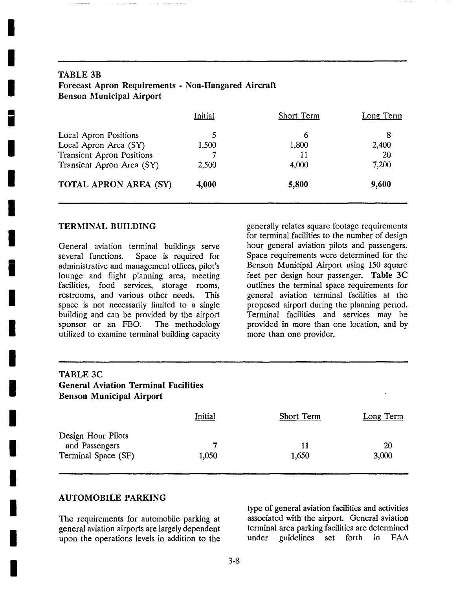| <b>TABLE 3B</b><br>Forecast Apron Requirements - Non-Hangared Aircraft<br><b>Benson Municipal Airport</b> |         |            |           |  |
|-----------------------------------------------------------------------------------------------------------|---------|------------|-----------|--|
|                                                                                                           | Initial | Short Term | Long Term |  |
| Local Apron Positions                                                                                     | 5       | 6          | 8         |  |
| Local Apron Area (SY)                                                                                     | 1,500   | 1,800      | 2,400     |  |
| Transient Apron Positions                                                                                 |         | 11         | 20        |  |
| Transient Apron Area (SY)                                                                                 | 2,500   | 4,000      | 7,200     |  |
| <b>TOTAL APRON AREA (SY)</b>                                                                              | 4,000   | 5,800      | 9,600     |  |

### TERMINAL BUILDING

**I** 

**I** 

**I** 

**|** 

**I** 

**I** 

**I** 

**I** 

**i** 

**I** 

**I** 

**I** 

**I** 

**I** 

**I** 

**I** 

**I** 

**I** 

**I** 

General aviation terminal buildings serve several functions. Space is required for administrative and management offices, pilot's lounge and flight planning area, meeting facilities, food services, storage rooms, restrooms, and various other needs. This space is not necessarily limited to a single building and can be provided by the airport sponsor or an FBO. The methodology utilized to examine terminal building capacity generally relates square footage requirements for terminal facilities to the number of design hour general aviation pilots and passengers. Space requirements were determined for the Benson Municipal Airport using 150 square feet per design hour passenger. Table 3C outlines the terminal space requirements for general aviation terminal facilities at the proposed airport during the planning period. Terminal facilities and services may be provided in more than one location, and by more than one provider.

| <b>TABLE 3C</b><br><b>General Aviation Terminal Facilities</b><br><b>Benson Municipal Airport</b> |            |             |             |
|---------------------------------------------------------------------------------------------------|------------|-------------|-------------|
|                                                                                                   | Initial    | Short Term  | Long Term   |
| Design Hour Pilots<br>and Passengers<br>Terminal Space (SF)                                       | 7<br>1,050 | 11<br>1,650 | 20<br>3,000 |

### AUTOMOBILE PARKING

The requirements for automobile parking at general aviation airports are largely dependent upon the operations levels in addition to the

type of general aviation facilities and activities associated with the airport. General aviation terminal area parking facilities are determined under guidelines set forth in FAA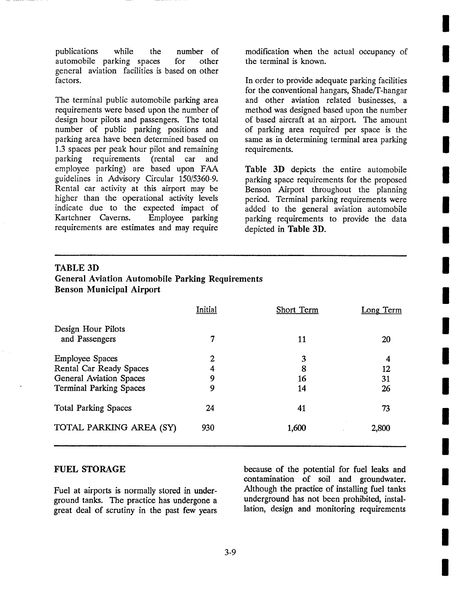publications while the number of automobile parking spaces for other general aviation facilities is based on other factors.

The terminal public automobile parking area requirements were based upon the number of design hour pilots and passengers. The total number of public parking positions and parking area have been determined based on 1.3 spaces per peak hour pilot and remaining parking requirements (rental car and employee parking) are based upon FAA guidelines in Advisory Circular 150/5360-9. Rental car activity at this airport may be higher than the operational activity levels indicate due to the expected impact of<br>Kartchner Caverns. Employee parking Kartchner Caverns. requirements are estimates and may require

modification when the actual occupancy of the terminal is known.

In order to provide adequate parking facilities for the conventional hangars, Shade/T-hangar and other aviation related businesses, a method was designed based upon the number of based aircraft at an airport. The amount of parking area required per space is the same as in determining terminal area parking requirements.

Table 3D depicts the entire automobile parking space requirements for the proposed Benson Airport throughout the planning period. Terminal parking requirements were added to the general aviation automobile parking requirements to provide the data depicted in Table 3D.

### TABLE 3D **General Aviation Automobile Parking Requirements Benson Municipal Airport**

|                                | Initial | Short Term | Long Term |
|--------------------------------|---------|------------|-----------|
| Design Hour Pilots             |         |            |           |
| and Passengers                 | 7       | 11         | 20        |
| <b>Employee Spaces</b>         | 2       | 3          | 4         |
| Rental Car Ready Spaces        | 4       | 8          | 12        |
| <b>General Aviation Spaces</b> | 9       | 16         | 31        |
| <b>Terminal Parking Spaces</b> | 9       | 14         | 26        |
| <b>Total Parking Spaces</b>    | 24      | 41         | 73        |
| TOTAL PARKING AREA (SY)        | 930     | 1,600      | 2,800     |
|                                |         |            |           |

### FUEL STORAGE

Fuel at airports is normally stored in underground tanks. The practice has undergone a great deal of scrutiny in the past few years because of the potential for fuel leaks and contamination of soil and groundwater. Although the practice of installing fuel tanks underground has not been prohibited, installation, design and monitoring requirements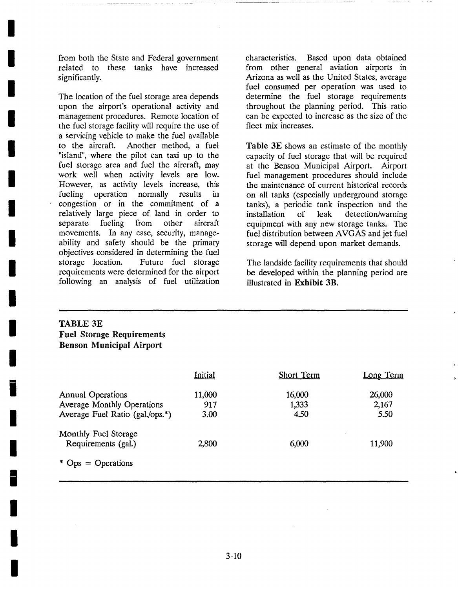from both the State and Federal government related to these tanks have increased significantly.

**I** 

**I** 

**I** 

**I** 

**I** 

**I** 

**I** 

**I** 

**I** 

**I** 

**I** 

**I** 

**i** 

**I** 

**I** 

**i** 

**I** 

**I** 

**I** 

The location of the fuel storage area depends upon the airport's operational activity and management procedures. Remote location of the fuel storage facility will require the use of a servicing vehicle to make the fuel available to the aircraft. Another method, a fuel "island", where the pilot can taxi up to the fuel storage area and fuel the aircraft, may work well when activity levels are low. However, as activity levels increase, this fueling operation normally results in congestion or in the commitment of a relatively large piece of land in order to separate fueling from other aircraft movements. In any case, security, manageability and safety should be the primary objectives considered in determining the fuel storage location. Future fuel storage requirements were determined for the airport following an analysis of fuel utilization

characteristics. Based upon data obtained from other general aviation airports in Arizona as well as the United States, average fuel consumed per operation was used to determine the fuel storage requirements throughout the planning period. This ratio can be expected to increase as the size of the fleet mix increases.

Table 3E shows an estimate of the monthly capacity of fuel storage that will be required at the Benson Municipal Airport. Airport fuel management procedures should include the maintenance of current historical records on all tanks (especially underground storage tanks), a periodic tank inspection and the installation of leak detection/warning equipment with any new storage tanks. The fuel distribution between AVGAS and jet fuel storage will depend upon market demands.

The landside facility requirements that should be developed within the planning period are illustrated in Exhibit 3B.

### TABLE 3E **Fuel Storage Requirements Benson Municipal Airport**

|                                   | Initial | Short Term | Long Term |
|-----------------------------------|---------|------------|-----------|
| <b>Annual Operations</b>          | 11,000  | 16,000     | 26,000    |
| <b>Average Monthly Operations</b> | 917     | 1,333      | 2,167     |
| Average Fuel Ratio (gal./ops.*)   | 3.00    | 4.50       | 5.50      |
| Monthly Fuel Storage              |         |            |           |
| Requirements (gal.)               | 2,800   | 6,000      | 11,900    |
| * $Ops = Operations$              |         |            |           |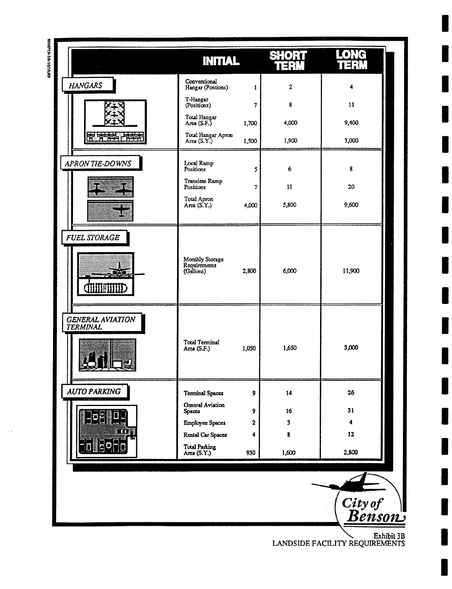| $\mu_{\rm{max}}=1.2\pm0.1$                 | <b>INITIAL</b>                               |                | $\left\vert \bullet\right\rangle$<br>$\exists$ ;} | $\Gamma$ d<br>u str |
|--------------------------------------------|----------------------------------------------|----------------|---------------------------------------------------|---------------------|
| <b>HANGARS</b>                             | Conventional<br>Hangar (Postions)            | 1              | 2                                                 | 4                   |
|                                            | T-Hangar<br>(Positions)                      | $\overline{7}$ | 8                                                 | 11                  |
|                                            | Total Hangar<br>Area $(S.F.)$                | 1,700          | 4,000                                             | 9,400               |
| ਨਾ ਜ                                       | Total Hangar Apron<br>Area (S.Y.)            | 1,500          | 1,900                                             | 3,000               |
| <b>APRON TIE-DOWNS</b>                     | Local Ramp<br>Positions                      | 5              | 6                                                 | 8                   |
|                                            | Transient Ramp<br>Positions                  | $\overline{7}$ | 11                                                | 20                  |
|                                            | Total Apron<br>Area (S.Y.)                   | 4,000          | 5,800                                             | 9,600               |
| <b>FUEL STORAGE</b><br><b>CILITIERE</b>    | Monthly Storage<br>Requirements<br>(Gallons) | 2,800          | 6,000                                             | 11,900              |
| <b>GENERAL AVIATION</b><br><b>TERMINAL</b> | <b>Total Terminal</b><br>Area (S.F.)         | 1,050          | 1,650                                             | 3,000               |
| <b>AUTO PARKING</b>                        | <b>Terminal Spaces</b>                       | 9              | 14                                                | 26                  |
|                                            | <b>General Aviation</b><br><b>Spaces</b>     | 9              | 16                                                | 31                  |
|                                            | <b>Employee Spaces</b>                       | $\mathbf{2}$   | 3                                                 | 4                   |
|                                            | Rental Car Spaces                            | 4              | 8                                                 | 12                  |
|                                            | Total Parking<br>Area (S.Y.)                 | 930            | 1,600                                             | 2,800               |
|                                            |                                              |                |                                                   | City of<br>Rences   |

 $\hat{\mathcal{A}}$ 

~. **Exhibit 3B**  LANDSIDE FACILITY REQUIREMENTS

ر **gn\$O1:/.**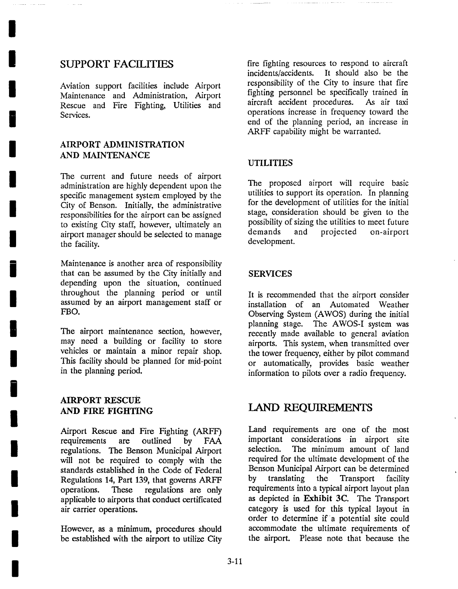### SUPPORT FACILITIES

**I** 

**I** 

**I** 

**I** 

**I** 

**I** 

**I** 

**I** 

**i** 

**I** 

**I** 

**I** 

**i** 

**I** 

**I** 

**I** 

**I** 

**I** 

**I** 

Aviation support facilities include Airport Maintenance and Administration, Airport Rescue and Fire Fighting, Utilities and Services.

### AIRPORT ADMINISTRATION AND MAINTENANCE

The current and future needs of airport administration are highly dependent upon the specific management system employed by the City of Benson. Initially, the administrative responsibilities for the airport can be assigned to existing City staff, however, ultimately an airport manager should be selected to manage the facility.

Maintenance is another area of responsibility that can be assumed by the City initially and depending upon the situation, continued throughout the planning period or until assumed by an airport management staff or FBO.

The airport maintenance section, however, may need a building or facility to store vehicles or maintain a minor repair shop. This facility should be planned for mid-point in the planning period.

### AIRPORT RESCUE AND FIRE FIGHTING

Airport Rescue and Fire Fighting (ARFF) requirements are outlined by FAA regulations. The Benson Municipal Airport will not be required to comply with the standards established in the Code of Federal Regulations 14, Part 139, that governs ARFF operations. These regulations are only applicable to airports that conduct certificated air carrier operations.

However, as a minimum, procedures should be established with the airport to utilize City fire fighting resources to respond to aircraft incidents/accidents. It should also be the responsibility of the City to insure that fire fighting personnel be specifically trained in aircraft accident procedures. As air taxi operations increase in frequency toward the end of the planning period, an increase in ARFF capability might be warranted.

### UTILITIES

The proposed airport will require basic utilities to support its operation. In planning for the development of utilities for the initial stage, consideration should be given to the possibility of sizing the utilities to meet future demands and projected on-airport development.

### SERVICES

It is recommended that the airport consider installation of an Automated Weather Observing System (AWOS) during the initial planning stage. The AWOS-I system was recently made available to general aviation airports. This system, when transmitted over the tower frequency, either by pilot command or automatically, provides basic weather information to pilots over a radio frequency.

### **LAND REQUIREMENTS**

Land requirements are one of the most important considerations in airport site selection. The minimum amount of land required for the ultimate development of the Benson Municipal Airport can be determined by translating the Transport facility requirements into a typical airport layout plan as depicted in Exhibit 3C. The Transport category is used for this typical layout in order to determine if a potential site could accommodate the ultimate requirements of the airport. Please note that because the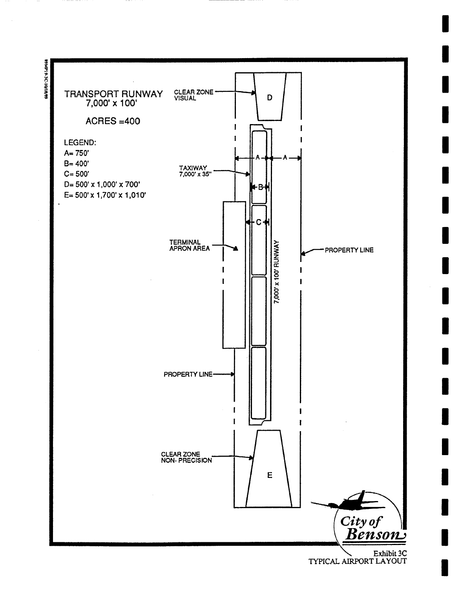

Exhibit 3C TYPICAL AIRPORT LAYOUT